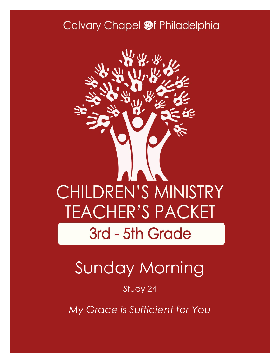### Calvary Chapel @f Philadelphia



# Sunday Morning

#### Study 24

*My Grace is Sufficient for You*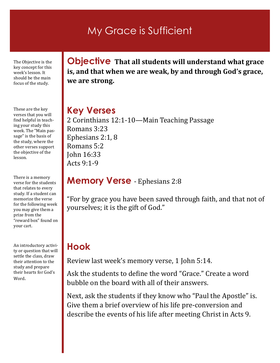### My Grace is Sufficient

The Objective is the key concept for this week's lesson. It should be the main focus of the study.

These are the key verses that you will find helpful in teaching your study this week. The "Main passage" is the basis of the study, where the other verses support the objective of the lesson.

There is a memory verse for the students that relates to every study. If a student can memorize the verse for the following week you may give them a prize from the "reward box" found on your cart.

An introductory activity or question that will settle the class, draw their attention to the study and prepare their hearts for God's Word.

**Objective That all students will understand what grace is, and that when we are weak, by and through God's grace, we are strong.**

#### **Key Verses**

2 Corinthians 12:1-10—Main Teaching Passage Romans 3:23 Ephesians 2:1, 8 Romans 5:2 John 16:33 Acts 9:1-9

#### **Memory Verse** - Ephesians 2:8

"For by grace you have been saved through faith, and that not of yourselves; it is the gift of God."

#### **Hook**

Review last week's memory verse, 1 John 5:14.

Ask the students to define the word "Grace." Create a word bubble on the board with all of their answers.

Next, ask the students if they know who "Paul the Apostle" is. Give them a brief overview of his life pre-conversion and describe the events of his life after meeting Christ in Acts 9.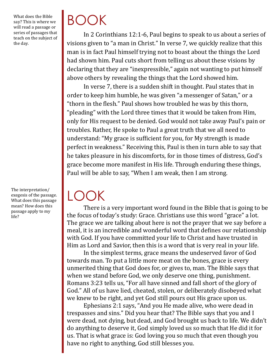What does the Bible say? This is where we will read a passage or series of passages that teach on the subject of the day.

The interpretation/ exegesis of the passage. What does this passage mean? How does this passage apply to my life?

# BOOK

In 2 Corinthians 12:1-6, Paul begins to speak to us about a series of visions given to "a man in Christ." In verse 7, we quickly realize that this man is in fact Paul himself trying not to boast about the things the Lord had shown him. Paul cuts short from telling us about these visions by declaring that they are "inexpressible," again not wanting to put himself above others by revealing the things that the Lord showed him.

In verse 7, there is a sudden shift in thought. Paul states that in order to keep him humble, he was given "a messenger of Satan," or a "thorn in the flesh." Paul shows how troubled he was by this thorn, "pleading" with the Lord three times that it would be taken from Him, only for His request to be denied. God would not take away Paul's pain or troubles. Rather, He spoke to Paul a great truth that we all need to understand: "My grace is sufficient for you, for My strength is made perfect in weakness." Receiving this, Paul is then in turn able to say that he takes pleasure in his discomforts, for in those times of distress, God's grace become more manifest in His life. Through enduring these things, Paul will be able to say, "When I am weak, then I am strong.

# LOOK

There is a very important word found in the Bible that is going to be the focus of today's study: Grace. Christians use this word "grace" a lot. The grace we are talking about here is not the prayer that we say before a meal, it is an incredible and wonderful word that defines our relationship with God. If you have committed your life to Christ and have trusted in Him as Lord and Savior, then this is a word that is very real in your life.

In the simplest terms, grace means the undeserved favor of God towards man. To put a little more meat on the bones, grace is every unmerited thing that God does for, or gives to, man. The Bible says that when we stand before God, we only deserve one thing, punishment. Romans 3:23 tells us, "For all have sinned and fall short of the glory of God." All of us have lied, cheated, stolen, or deliberately disobeyed what we knew to be right, and yet God still pours out His grace upon us.

Ephesians 2:1 says, "And you He made alive, who were dead in trespasses and sins." Did you hear that? The Bible says that you and I were dead, not dying, but dead, and God brought us back to life. We didn't do anything to deserve it, God simply loved us so much that He did it for us. That is what grace is: God loving you so much that even though you have no right to anything, God still blesses you.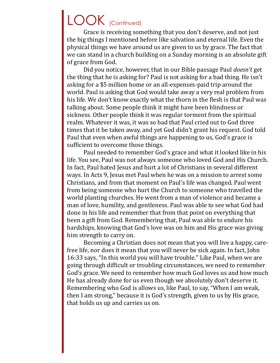### LOOK (Continued)

Grace is receiving something that you don't deserve, and not just the big things I mentioned before like salvation and eternal life. Even the physical things we have around us are given to us by grace. The fact that we can stand in a church building on a Sunday morning is an absolute gift of grace from God.

Did you notice, however, that in our Bible passage Paul *doesn't* get the thing that he is asking for? Paul is not asking for a bad thing. He isn't asking for a \$5 million home or an all-expenses-paid trip around the world. Paul is asking that God would take away a very real problem from his life. We don't know exactly what the thorn in the flesh is that Paul was talking about. Some people think it might have been blindness or sickness. Other people think it was regular torment from the spiritual realm. Whatever it was, it was so bad that Paul cried out to God three times that it be taken away, and yet God didn't grant his request. God told Paul that even when awful things are happening to us, God's grace is sufficient to overcome those things.

Paul needed to remember God's grace and what it looked like in his life. You see, Paul was not always someone who loved God and His Church. In fact, Paul hated Jesus and hurt a lot of Christians in several different ways. In Acts 9, Jesus met Paul when he was on a mission to arrest some Christians, and from that moment on Paul's life was changed. Paul went from being someone who hurt the Church to someone who travelled the world planting churches. He went from a man of violence and became a man of love, humility, and gentleness. Paul was able to see what God had done in his life and remember that from that point on everything that been a gift from God. Remembering that, Paul was able to endure his hardships, knowing that God's love was on him and His grace was giving him strength to carry on.

Becoming a Christian does not mean that you will live a happy, carefree life, nor does it mean that you will never be sick again. In fact, John 16:33 says, "In this world you will have trouble." Like Paul, when we are going through difficult or troubling circumstances, we need to remember God's grace. We need to remember how much God loves us and how much He has already done for us even though we absolutely don't deserve it. Remembering who God is allows us, like Paul, to say, "When I am weak, then I am strong," because it is God's strength, given to us by His grace, that holds us up and carries us on.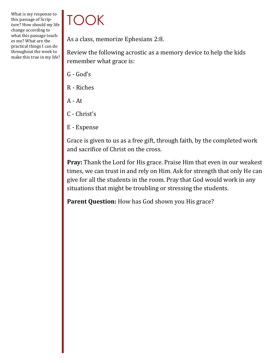#### What is my response to this passage of Scripture? How should my life change according to what this passage teaches me? What are the practical things I can do throughout the week to make this true in my life?

## TOOK

As a class, memorize Ephesians 2:8.

Review the following acrostic as a memory device to help the kids remember what grace is:

- G God's
- R Riches
- A At
- C Christ's
- E Expense

Grace is given to us as a free gift, through faith, by the completed work and sacrifice of Christ on the cross.

**Pray:** Thank the Lord for His grace. Praise Him that even in our weakest times, we can trust in and rely on Him. Ask for strength that only He can give for all the students in the room. Pray that God would work in any situations that might be troubling or stressing the students.

Parent Question: How has God shown you His grace?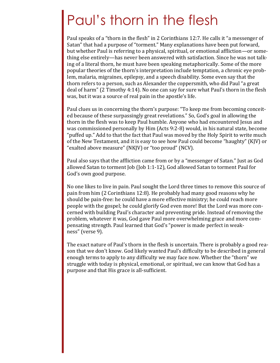### Paul's thorn in the flesh

Paul speaks of a "thorn in the flesh" in 2 Corinthians 12:7. He calls it "a messenger of Satan" that had a purpose of "torment." Many explanations have been put forward, but whether Paul is referring to a physical, spiritual, or emotional affliction—or something else entirely—has never been answered with satisfaction. Since he was not talking of a literal thorn, he must have been speaking metaphorically. Some of the more popular theories of the thorn's interpretation include temptation, a chronic eye problem, malaria, migraines, epilepsy, and a speech disability. Some even say that the thorn refers to a person, such as Alexander the coppersmith, who did Paul "a great deal of harm" (2 Timothy 4:14). No one can say for sure what Paul's thorn in the flesh was, but it was a source of real pain in the apostle's life.

Paul clues us in concerning the thorn's purpose: "To keep me from becoming conceited because of these surpassingly great revelations." So, God's goal in allowing the thorn in the flesh was to keep Paul humble. Anyone who had encountered Jesus and was commissioned personally by Him (Acts 9:2-8) would, in his natural state, become "puffed up." Add to that the fact that Paul was moved by the Holy Spirit to write much of the New Testament, and it is easy to see how Paul could become "haughty" (KJV) or "exalted above measure" (NKJV) or "too proud" (NCV).

Paul also says that the affliction came from or by a "messenger of Satan." Just as God allowed Satan to torment Job (Job 1:1-12), God allowed Satan to torment Paul for God's own good purpose.

No one likes to live in pain. Paul sought the Lord three times to remove this source of pain from him (2 Corinthians 12:8). He probably had many good reasons why he should be pain-free: he could have a more effective ministry; he could reach more people with the gospel; he could glorify God even more! But the Lord was more concerned with building Paul's character and preventing pride. Instead of removing the problem, whatever it was, God gave Paul more overwhelming grace and more compensating strength. Paul learned that God's "power is made perfect in weakness" (verse 9).

The exact nature of Paul's thorn in the flesh is uncertain. There is probably a good reason that we don't know. God likely wanted Paul's difficulty to be described in general enough terms to apply to any difficulty we may face now. Whether the "thorn" we struggle with today is physical, emotional, or spiritual, we can know that God has a purpose and that His grace is all-sufficient.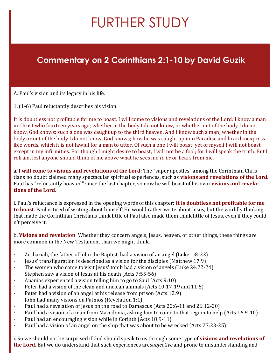# FURTHER STUDY

#### **Commentary on 2 Corinthians 2:1-10 by David Guzik**

A. Paul's vision and its legacy in his life.

1. (1-6) Paul reluctantly describes his vision.

It is doubtless not profitable for me to boast. I will come to visions and revelations of the Lord: I know a man in Christ who fourteen years ago; whether in the body I do not know, or whether out of the body I do not know, God knows; such a one was caught up to the third heaven. And I know such a man; whether in the body or out of the body I do not know, God knows; how he was caught up into Paradise and heard inexpressible words, which it is not lawful for a man to utter. Of such a one I will boast; yet of myself I will not boast, except in my infirmities. For though I might desire to boast, I will not be a fool; for I will speak the truth. But I refrain, lest anyone should think of me above what he sees me *to be* or hears from me.

a. **I will come to visions and revelations of the Lord**: The "super apostles" among the Corinthian Christians no doubt claimed many spectacular spiritual experiences, such as **visions and revelations of the Lord**. Paul has "reluctantly boasted" since the last chapter, so now he will boast of his own **visions and revelations of the Lord**.

i. Paul's reluctance is expressed in the opening words of this chapter: **It is doubtless not profitable for me to boast**. Paul is tired of writing about himself! He would rather write about Jesus, but the worldly thinking that made the Corinthian Christians think little of Paul also made them think little of Jesus, even if they couldn't perceive it.

b. **Visions and revelation**: Whether they concern angels, Jesus, heaven, or other things, these things are more common in the New Testament than we might think.

- Zechariah, the father of John the Baptist, had a vision of an angel (Luke 1:8-23)
- · Jesus' transfiguration is described as a vision for the disciples (Matthew 17:9)
- · The women who came to visit Jesus' tomb had a vision of angels (Luke 24:22-24)
- · Stephen saw a vision of Jesus at his death (Acts 7:55-56)
- Ananias experienced a vision telling him to go to Saul (Acts 9:10)
- Peter had a vision of the clean and unclean animals (Acts 10:17-19 and 11:5)
- Peter had a vision of an angel at his release from prison (Acts 12:9)
- John had many visions on Patmos (Revelation 1:1)
- · Paul had a revelation of Jesus on the road to Damascus (Acts 22:6-11 and 26:12-20)
- · Paul had a vision of a man from Macedonia, asking him to come to that region to help (Acts 16:9-10)
- Paul had an encouraging vision while in Corinth (Acts 18:9-11)
- Paul had a vision of an angel on the ship that was about to be wrecked (Acts 27:23-25)

i. So we should not be surprised if God should speak to us through some type of **visions and revelations of the Lord**. But we do understand that such experiences are*subjective* and prone to misunderstanding and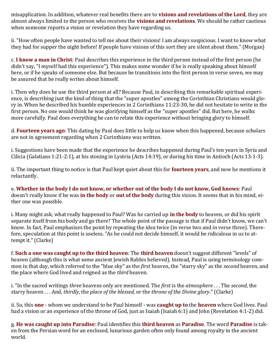misapplication. In addition, whatever real benefits there are to **visions and revelations of the Lord**, they are almost always limited to the person who receives the **visions and revelations**. We should be rather cautious when someone reports a vision or revelation they have regarding us.

ii. "How often people have wanted to tell me about their visions! I am always suspicious. I want to know what they had for supper the night before! If people have visions of this sort they are silent about them." (Morgan)

c. **I know a man in Christ**: Paul describes this experience in the third person instead of the first person (he didn't say, "I myself had this experience"). This makes some wonder if he is really speaking about himself here, or if he speaks of someone else. But because he transitions into the first person in verse seven, we may be assured that he really writes about himself.

i. Then why does he use the third person at all? Because Paul, in describing this remarkable spiritual experience, is describing just the kind of thing that the "super apostles" among the Corinthian Christians would glory in. When he described his humble experiences in 2 Corinthians 11:23-30, he did not hesitate to write in the first person. No one would think he was glorifying himself as the "super apostles" did. But here, he walks more carefully. Paul does everything he can to relate this experience without bringing glory to himself.

d. **Fourteen years ago**: This dating by Paul does little to help us know when this happened, because scholars are not in agreement regarding when 2 Corinthians was written.

i. Suggestions have been made that the experience he describes happened during Paul's ten years in Syria and Cilicia (Galatians 1:21-2:1), at his stoning in Lystria (Acts 14:19), or during his time in Antioch (Acts 13:1-3).

ii. The important thing to notice is that Paul kept quiet about this for **fourteen years**, and now he mentions it reluctantly.

e. **Whether in the body I do not know, or whether out of the body I do not know, God knows**: Paul doesn't really know if he was **in the body** or **out of the body** during this vision. It seems that in his mind, either one was possible.

i. Many might ask, what really happened to Paul? Was he carried up **in the body** to heaven, or did his spirit separate itself from his body and go there? The whole point of the passage is that if Paul didn't know, we can't know. In fact, Paul emphasizes the point by repeating the idea twice (in verse two and in verse three). Therefore, speculation at this point is useless. "As he could not decide himself, it would be ridiculous in us to attempt it." (Clarke)

f. **Such a one was caught up to the third heaven**: The **third heaven** doesn't suggest different "levels" of heaven (although this is what some ancient Jewish Rabbis believed). Instead, Paul is using terminology common in that day, which referred to the "blue sky" as the *first* heaven, the "starry sky" as the *second* heaven, and the place where God lived and reigned as the *third* heaven.

i. "In the sacred writings *three* heavens only are mentioned. The *first* is the *atmosphere* . . . The *second*, the starry heaven . . . And, *thirdly*, the *place of the blessed*, or the *throne of the Divine glory*." (Clarke)

ii. So, this **one** - whom we understand to be Paul himself - was **caught up to** the **heaven** where God lives. Paul had a vision or an experience of the throne of God, just as Isaiah (Isaiah 6:1) and John (Revelation 4:1-2) did.

g. **He was caught up into Paradise**: Paul identifies this **third heaven** as **Paradise**. The word **Paradise** is taken from the Persian word for an enclosed, luxurious garden often only found among royalty in the ancient world.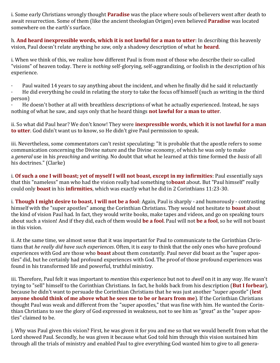i. Some early Christians wrongly thought **Paradise** was the place where souls of believers went after death to await resurrection. Some of them (like the ancient theologian Origen) even believed **Paradise** was located somewhere on the earth's surface.

h. **And heard inexpressible words, which it is not lawful for a man to utter**: In describing this heavenly vision, Paul doesn't relate anything he *saw*, only a shadowy description of what he **heard**.

i. When we think of this, we realize how different Paul is from most of those who describe their so-called "visions" of heaven today. There is *nothing* self-glorying, self-aggrandizing, or foolish in the description of his experience.

- · Paul waited 14 years to say anything about the incident, and when he finally did he said it reluctantly
- · He did everything he could in relating the story to take the focus off himself (such as writing in the third person)

He doesn't bother at all with breathless descriptions of what he actually experienced. Instead, he says nothing of what he saw, and says only that he heard things **not lawful for a man to utter**.

ii. So what did Paul hear? We don't know! They were **inexpressible words, which it is not lawful for a man to utter**. God didn't want us to know, so He didn't give Paul permission to speak.

iii. Nevertheless, some commentators can't resist speculating: "It is probable that the apostle refers to some communication concerning the Divine nature and the Divine economy, of which he was only to make a *general* use in his *preaching* and *writing*. No doubt that what he learned at this time formed the *basis* of all his doctrines." (Clarke)

i. **Of such a one I will boast; yet of myself I will not boast, except in my infirmities**: Paul essentially says that this "nameless" man who had the vision really had something to**boast** about. But "Paul himself" really could only **boast** in his **infirmities**, which was exactly what he did in 2 Corinthians 11:23-30.

i. **Though I might desire to boast, I will not be a fool**: Again, Paul is sharply - and humorously - contrasting himself with the "super apostles" among the Corinthian Christians. They would not hesitate to **boast** about the kind of vision Paul had. In fact, they would write books, make tapes and videos, and go on speaking tours about such a vision! And if they did, each of them would **be a fool**. Paul will not **be a fool**, so he will not boast in this vision.

ii. At the same time, we almost sense that it was important for Paul to communicate to the Corinthian Christians that *he really did have such experiences*. Often, it is easy to think that the only ones who have profound experiences with God are those who **boast** about them constantly. Paul never did boast as the "super apostles" did, but he certainly had profound experiences with God. The proof of those profound experiences was found in his transformed life and powerful, truthful ministry.

iii. Therefore, Paul felt it was important to *mention* this experience but not to *dwell* on it in any way. He wasn't trying to "sell" himself to the Corinthian Christians. In fact, he holds back from his description (**But I forbear**), because he didn't want to persuade the Corinthian Christians that he was just another "super apostle" (**lest anyone should think of me above what he sees me to be or hears from me**). If the Corinthian Christians thought Paul was weak and different from the "super apostles," that was fine with him. He wanted the Corinthian Christians to see the glory of God expressed in weakness, not to see him as "great" as the "super apostles" claimed to be.

j. Why was Paul given this vision? First, he was given it for you and me so that we would benefit from what the Lord showed Paul. Secondly, he was given it because what God told him through this vision sustained him through all the trials of ministry and enabled Paul to give everything God wanted him to give to all genera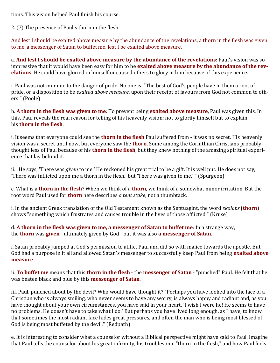tions. This vision helped Paul finish his course.

2. (7) The presence of Paul's thorn in the flesh.

And lest I should be exalted above measure by the abundance of the revelations, a thorn in the flesh was given to me, a messenger of Satan to buffet me, lest I be exalted above measure.

a. **And lest I should be exalted above measure by the abundance of the revelations**: Paul's vision was so impressive that it would have been easy for him to be **exalted above measure by the abundance of the revelations**. He could have gloried in himself or caused others to glory in him because of this experience.

i. Paul was not immune to the danger of pride. No one is. "The best of God's people have in them a root of pride, or a disposition to be *exalted above measure*, upon their receipt of favours from God not common to others." (Poole)

b. **A thorn in the flesh was given to me**: To prevent being **exalted above measure**, Paul was given this. In this, Paul reveals the real reason for telling of his heavenly vision: not to glorify himself but to explain his **thorn in the flesh**.

i. It seems that everyone could see the **thorn in the flesh** Paul suffered from - it was no secret. His heavenly vision was a secret until now, but everyone saw the **thorn**. Some among the Corinthian Christians probably thought less of Paul because of his **thorn in the flesh**, but they knew nothing of the amazing spiritual experience that lay behind it.

ii. "He says, 'There was *given* to me.' He reckoned his great trial to be a gift. It is well put. He does not say, 'There was inflicted upon me a thorn in the flesh,' but 'There was given to me.' " (Spurgeon)

c. What is a **thorn in the flesh**? When we think of a **thorn**, we think of a somewhat minor irritation. But the root word Paul used for **thorn** here describes *a tent stake*, not a thumbtack.

i. In the ancient Greek translation of the Old Testament known as the Septuagint, the word *skolops* (**thorn**) shows "something which frustrates and causes trouble in the lives of those afflicted." (Kruse)

d. **A thorn in the flesh was given to me, a messenger of Satan to buffet me**: In a strange way, the **thorn** was **given** - ultimately given by God - but it was also **a messenger of Satan**.

i. Satan probably jumped at God's permission to afflict Paul and did so with malice towards the apostle. But God had a purpose in it all and allowed Satan's messenger to successfully keep Paul from being **exalted above measure**.

ii. **To buffet me** means that this **thorn in the flesh** - the **messenger of Satan** - "punched" Paul. He felt that he was beaten black and blue by this **messenger of Satan**.

iii. Paul, punched about by the devil? Who would have thought it? "Perhaps you have looked into the face of a Christian who is always smiling, who never seems to have any worry, is always happy and radiant and, as you have thought about your own circumstances, you have said in your heart, 'I wish I were he! He seems to have no problems. He doesn't have to take what I do.' But perhaps you have lived long enough, as I have, to know that sometimes the most radiant face hides great pressures, and often the man who is being most blessed of God is being most buffeted by the devil." (Redpath)

e. It is interesting to consider what a counselor without a Biblical perspective might have said to Paul. Imagine that Paul tells the counselor about his great infirmity, his troublesome "thorn in the flesh," and how Paul feels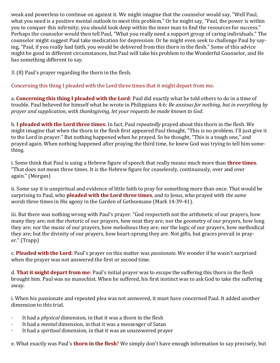weak and powerless to continue on against it. We might imagine that the counselor would say, "Well Paul, what you need is a positive mental outlook to meet this problem." Or he might say, "Paul, the power is within you to conquer this infirmity; you should look deep within the inner man to find the resources for success." Perhaps the counselor would then tell Paul, "What you really need a support group of caring individuals." The counselor might suggest Paul take medication for depression. Or he might even seek to challenge Paul by saying, "Paul, if you really had faith, you would be delivered from this thorn in the flesh." Some of this advice might be good in different circumstances, but Paul will take his problem to the Wonderful Counselor, and He has something different to say.

3. (8) Paul's prayer regarding the thorn in the flesh.

Concerning this thing I pleaded with the Lord three times that it might depart from me.

a. **Concerning this thing I pleaded with the Lord**: Paul did exactly what he told others to do in a time of trouble. Paul believed for himself what he wrote in Philippians 4:6: *Be anxious for nothing, but in everything by prayer and supplication, with thanksgiving, let your requests be made known to God*.

b. **I pleaded with the Lord three times**: In fact, Paul *repeatedly* prayed about this thorn in the flesh. We might imagine that when the thorn in the flesh first appeared Paul thought, "This is no problem. I'll just give it to the Lord in prayer." But nothing happened when he prayed. So he thought, "This is a tough one," and prayed again. When nothing happened after praying the third time, he knew God was trying to tell him something.

i. Some think that Paul is using a Hebrew figure of speech that really means much more than **three times**. "That does not mean three times. It is the Hebrew figure for ceaselessly, continuously, over and over again." (Morgan)

ii. Some say it is unspiritual and evidence of little faith to pray for something more than once. That would be surprising to Paul, who **pleaded with the Lord three times**, and to Jesus, who prayed with *the same words* three times in His agony in the Garden of Gethsemane (Mark 14:39-41).

iii. But there was nothing wrong with Paul's prayer. "God respecteth not the arithmetic of our prayers, how many they are; not the rhetoric of our prayers, how neat they are; nor the geometry of our prayers, how long they are; nor the music of our prayers, how melodious they are; nor the logic of our prayers, how methodical they are; but the divinity of our prayers, how heart-sprung they are. Not gifts, but graces prevail in prayer." (Trapp)

c. **Pleaded with the Lord**: Paul's prayer on this matter was *passionate*. We wonder if he wasn't surprised when the prayer was not answered the first or second time.

d. **That it might depart from me**: Paul's initial prayer was to *escape* the suffering this thorn in the flesh brought him. Paul was no masochist. When he suffered, his first instinct was to ask God to take the suffering away.

i. When his passionate and repeated plea was not answered, it must have concerned Paul. It added another dimension to this trial.

- · It had a *physical* dimension, in that it was a thorn in the flesh
- It had a *mental* dimension, in that it was a messenger of Satan
- · It had a *spiritual* dimension, in that it was an unanswered prayer

e. What exactly was Paul's **thorn in the flesh**? We simply don't have enough information to say precisely, but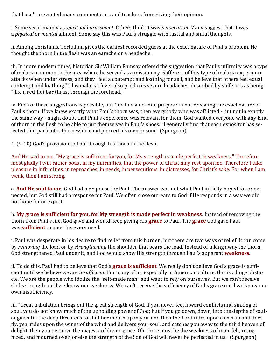that hasn't prevented many commentators and teachers from giving their opinion.

i. Some see it mainly as *spiritual harassment*. Others think it was *persecution*. Many suggest that it was a *physical* or *mental* ailment. Some say this was Paul's struggle with lustful and sinful thoughts.

ii. Among Christians, Tertullian gives the earliest recorded guess at the exact nature of Paul's problem. He thought the thorn in the flesh was an earache or a headache.

iii. In more modern times, historian Sir William Ramsay offered the suggestion that Paul's infirmity was a type of malaria common to the area where he served as a missionary. Sufferers of this type of malaria experience attacks when under stress, and they "feel a contempt and loathing for self, and believe that others feel equal contempt and loathing." This malarial fever also produces severe headaches, described by sufferers as being "like a red-hot bar thrust through the forehead."

iv. Each of these suggestions is possible, but God had a definite purpose in not revealing the exact nature of Paul's thorn. If we knew exactly what Paul's thorn was, then everybody who was afflicted - but not in exactly the same way - might doubt that Paul's experience was relevant for them. God wanted everyone with any kind of thorn in the flesh to be able to put themselves in Paul's shoes. "I generally find that each expositor has selected that particular thorn which had pierced his own bosom." (Spurgeon)

4. (9-10) God's provision to Paul through his thorn in the flesh.

And He said to me, "My grace is sufficient for you, for My strength is made perfect in weakness." Therefore most gladly I will rather boast in my infirmities, that the power of Christ may rest upon me. Therefore I take pleasure in infirmities, in reproaches, in needs, in persecutions, in distresses, for Christ's sake. For when I am weak, then I am strong.

a. **And He said to me**: God had a response for Paul. The answer was not what Paul initially hoped for or expected, but God still had a response for Paul. We often close our ears to God if He responds in a way we did not hope for or expect.

b. **My grace is sufficient for you, for My strength is made perfect in weakness**: Instead of removing the thorn from Paul's life, God gave and would keep giving His **grace** to Paul. The **grace** God gave Paul was **sufficient** to meet his every need.

i. Paul was desperate in his desire to find relief from this burden, but there are two ways of relief. It can come by *removing* the load or by *strengthening* the shoulder that bears the load. Instead of taking away the thorn, God strengthened Paul under it, and God would show His strength through Paul's apparent **weakness**.

ii. To do this, Paul had to believe that God's **grace is sufficient**. We really don't believe God's grace is sufficient until we believe we are *insufficient*. For many of us, especially in American culture, this is a huge obstacle. We are the people who idolize the "self-made man" and want to rely on ourselves. But we can't receive God's strength until we know our weakness. We can't receive the sufficiency of God's grace until we know our own insufficiency.

iii. "Great tribulation brings out the great strength of God. If you never feel inward conflicts and sinking of soul, you do not know much of the upholding power of God; but if you go down, down, into the depths of soulanguish till the deep threatens to shut her mouth upon you, and then the Lord rides upon a cherub and does fly, yea, rides upon the wings of the wind and delivers your soul, and catches you away to the third heaven of delight, then you perceive the majesty of divine grace. Oh, there must be the weakness of man, felt, recognized, and mourned over, or else the strength of the Son of God will never be perfected in us." (Spurgeon)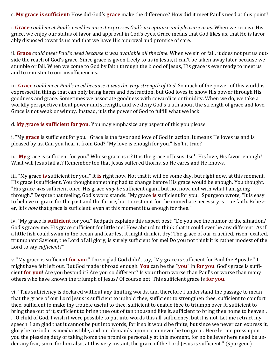c. **My grace is sufficient**: How did God's **grace** make the difference? How did it meet Paul's need at this point?

i. **Grace** *could meet Paul's need because it expresses God's acceptance and pleasure in us*. When we receive His grace, we enjoy our status of favor and approval in God's eyes. Grace means that God likes us, that He is favorably disposed towards us and that we have His approval and promise of care.

ii. **Grace** *could meet Paul's need because it was available all the time*. When we sin or fail, it does not put us outside the reach of God's grace. Since grace is given freely to us in Jesus, it can't be taken away later because we stumble or fall. When we come to God by faith through the blood of Jesus, His grace is ever ready to meet us and to minister to our insufficiencies.

iii. **Grace** *could meet Paul's need because it was the very strength of God*. So much of the power of this world is expressed in things that can only bring harm and destruction, but God loves to show His power through His goodness and grace. Sometimes we associate goodness with cowardice or timidity. When we do, we take a worldly perspective about power and strength, and we deny God's truth about the strength of grace and love. Grace is not weak or wimpy. Instead, it is the power of God to fulfill what we lack.

d. **My grace is sufficient for you**: You may emphasize any aspect of this you please.

i. "My **grace** is sufficient for you." Grace is the favor and love of God in action. It means He loves us and is pleased by us. Can you hear it from God? "My love is enough for you." Isn't it true?

ii. "**My** grace is sufficient for you." Whose grace is it? It is the grace of Jesus. Isn't His love, His favor, enough? What will Jesus fail at? Remember too that Jesus suffered thorns, so He cares and He knows.

iii. "My grace **is** sufficient for you." It **is** right now. Not that it will be some day, but right now, at this moment, His grace is sufficient. You thought something had to change before His grace would be enough. You thought, "His grace *was* sufficient once, His grace *may be* sufficient again, but not now, not with what I am going through." Despite that feeling, God's word stands. "My grace **is** sufficient for you." Spurgeon wrote, "It is easy to believe in grace for the past and the future, but to rest in it for the immediate necessity is true faith. Believer, it is *now* that grace is sufficient: even at this moment it *is* enough for thee."

iv. "My grace is **sufficient** for you." Redpath explains this aspect best: "Do you see the humor of the situation? God's grace: me. His grace sufficient for little me! How absurd to think that it could ever be any different! As if a little fish could swim in the ocean and fear lest it might drink it dry! The grace of our crucified, risen, exalted, triumphant Saviour, the Lord of all glory, is surely sufficient for me! Do you not think it is rather modest of the Lord to say *sufficient*?"

v. "My grace is sufficient **for you**." I'm so glad God didn't say, "My grace is sufficient for Paul the Apostle." I might have felt left out. But God made it broad enough. **You** can be the "**you**" in **for you**. God's grace is sufficient **for you**! Are you beyond it? Are you so different? Is your thorn worse than Paul's or worse than many others who have known the triumph of Jesus? Of course not. This sufficient grace is **for you**.

vi. "This sufficiency is declared without any limiting words, and therefore I understand the passage to mean that the grace of our Lord Jesus is sufficient to uphold thee, sufficient to strengthen thee, sufficient to comfort thee, sufficient to make thy trouble useful to thee, sufficient to enable thee to triumph over it, sufficient to bring thee out of it, sufficient to bring thee out of ten thousand like it, sufficient to bring thee home to heaven . . . O child of God, I wish it were possible to put into words this all-sufficiency, but it is not. Let me retract my speech: I am glad that it cannot be put into words, for if so it would be finite, but since we never can express it, glory be to God it is inexhaustible, and our demands upon it can never be too great. Here let me press upon you the pleasing duty of taking home the promise personally at this moment, for no believer here need be under any fear, since for him also, at this very instant, the grace of the Lord Jesus is sufficient." (Spurgeon)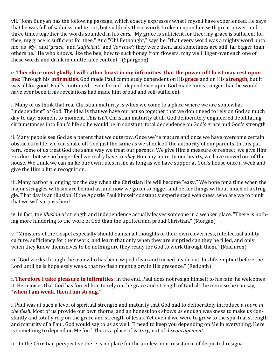vii. "John Bunyan has the following passage, which exactly expresses what I myself have experienced. He says that he was full of sadness and terror, but suddenly these words broke in upon him with great power, and three times together the words sounded in his ears, "My grace is sufficient for thee; my grace is sufficient for thee; my grace is sufficient for thee." And "Oh! Bethought," says he, "that every word was a mighty word unto me; as '*My*,' and '*grace*,' and '*sufficient*,' and '*for thee*'; they were then, and sometimes are still, far bigger than others be." He who knows, like the bee, how to suck honey from flowers, may well linger over each one of these words and drink in unutterable content." (Spurgeon)

e. **Therefore most gladly I will rather boast in my infirmities, that the power of Christ may rest upon me**: Through his **infirmities**, God made Paul completely dependent on His**grace** and on His **strength**, but it was all for good. Paul's continued - even forced - dependence upon God made him stronger than he would have ever been if his revelations had made him proud and self-sufficient.

i. Many of us think that real Christian maturity is when we come to a place where we are somewhat "independent" of God. The idea is that we have our act so together that we don't need to rely on God so much day to day, moment to moment. This isn't Christian maturity at all. God deliberately engineered debilitating circumstances into Paul's life so he would be in constant, total dependence on God's grace and God's strength.

ii. Many people see God as a parent that we outgrow. Once we're mature and once we have overcome certain obstacles in life, we can shake off God just the same as we shook off the authority of our parents. In this pattern, some of us treat God the same way we treat our parents. We give Him a measure of respect, we give Him His due - but we no longer feel we really have to *obey* Him any more. In our hearts, we have moved out of the house. We think we can make our own rules in life as long as we have supper at God's house once a week and give the Him a little recognition.

iii. Many harbor a longing for the day when the Christian life will become "easy." We hope for a time when the major struggles with sin are behind us, and now we go on to bigger and better things without much of a struggle. That day is an illusion. If the Apostle Paul himself constantly experienced weakness, who are we to think that we will surpass him?

iv. In fact, the *illusion* of strength and independence actually leaves someone in a weaker place. "There is nothing more hindering to the work of God than the uplifted and proud Christian." (Morgan)

v. "Ministers of the Gospel especially should banish all thoughts of their own cleverness, intellectual ability, culture, sufficiency for their work, and learn that only when they are emptied can they be filled, and only when they know themselves to be nothing are they ready for God to work through them." (Maclaren)

vi. "God works through the man who has been wiped clean and turned inside out, his life emptied before the Lord until he is hopelessly weak, that no flesh might glory in His presence." (Redpath)

f. **Therefore I take pleasure in infirmities**: In the end, Paul does not resign himself to his fate; he welcomes it. He rejoices that God has forced him to rely on the grace and strength of God all the more so he can say, "**when I am weak, then I am strong**."

i. Paul was at such a level of spiritual strength and maturity that God had to deliberately introduce a *thorn in the flesh*. Most of us provide our own thorns, and an honest look shows us enough weakness to make us constantly and totally rely on the grace and strength of Jesus. Yet even if we were to grow to the spiritual strength and maturity of a Paul, God would say to us as well: "I need to keep you depending on Me in everything. Here is something to depend on Me for." This is a place of *victory*, not of *discouragement*.

ii. "In the Christian perspective there is no place for the aimless non-resistance of dispirited resigna-